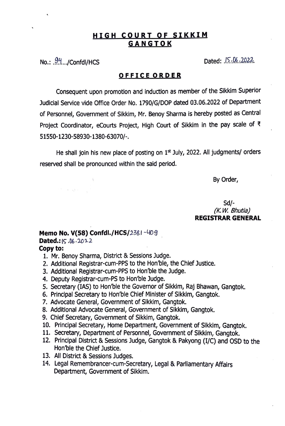## **HIGH COURT OF SIKKIM GANGTOK**

No.: .94.../Confdl/HCS Dated: .l<sup>5.06.2022</sup>

 $\mathcal{N}=\mathcal{N}=\mathcal{N}$  , and  $\mathcal{N}=\mathcal{N}$ 

## **OFFICE ORDER**

Consequent upon promotion and induction as member of the Sikkim Superior Judicial Service vide Office Order No. 1790/G/DOP dated 03.06.2022 of Department of Personnel, Government of Sikkim, Mr. Benoy Sharma is hereby posted as Central Project Coordinator, eCourts Project, High Court of Sikkim in the pay scale of *"*  51550-1230-58930-1380-63070/-.

He shall join his new place of posting on  $1<sup>st</sup>$  July, 2022. All judgments/ orders reserved shall be pronounced within the said period.

By Order,

Sd/- *(K.W. Bhutia)* **REGISTRAR GENERAL** 

## **Memo No. V(58) Confdl./HCS/2381-409 Dated.:**  $15.06.2022$ **Copy to:**

- 1. Mr. Benoy Sharma, District & Sessions Judge.
- 2. Additional Registrar-cum-PPS to the Hon'ble, the Chief Justice.
- 3. Additional Registrar-cum-PPS to Hon'ble the Judge.
- 4. Deputy Registrar-cum-PS to Hon'ble Judge.
- 5. Secretary (IAS) to Hon'ble the Governor of Sikkim, Raj Bhawan, Gangtok.
- 6. Principal Secretary to Hon'ble Chief Minister of Sikkim, Gangtok.
- 7. Advocate General, Government of Sikkim, Gangtok.
- 8. Additional Advocate General, Government of Sikkim, Gangtok.
- 9. Chief Secretary, Government of Sikkim, Gangtok.
- 10. Principal Secretary, Home Department, Government of Sikkim, Gangtok.
- 11. Secretary, Department of Personnel, Government of Sikkim, Gangtok.
- 12. Principal District & Sessions Judge, Gangtok & Pakyong (I/C) and OSD to the Hon'ble the Chief Justice.
- 13. All District & Sessions Judges.
- 14. Legal Remembrancer-cum-Secretary, Legal & Parliamentary Affairs Department, Government of Sikkim.